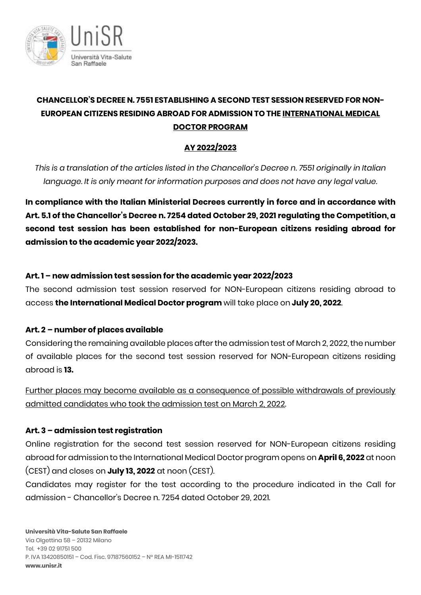

# **CHANCELLOR'S DECREE N. 7551 ESTABLISHING A SECOND TEST SESSION RESERVED FOR NON-EUROPEAN CITIZENS RESIDING ABROAD FOR ADMISSION TO THE INTERNATIONAL MEDICAL DOCTOR PROGRAM**

## **AY 2022/2023**

*This is a translation of the articles listed in the Chancellor's Decree n. 7551 originally in Italian language. It is only meant for information purposes and does not have any legal value.*

**In compliance with the Italian Ministerial Decrees currently in force and in accordance with Art. 5.1 of the Chancellor's Decree n. 7254 dated October 29, 2021 regulating the Competition, a second test session has been established for non-European citizens residing abroad for admission to the academic year 2022/2023.** 

## **Art. 1 – new admission test session for the academic year 2022/2023**

The second admission test session reserved for NON-European citizens residing abroad to access **the International Medical Doctor program** will take place on **July 20, 2022**.

## **Art. 2 – number of places available**

Considering the remaining available places after the admission test of March 2, 2022, the number of available places for the second test session reserved for NON-European citizens residing abroad is **13.**

Further places may become available as a consequence of possible withdrawals of previously admitted candidates who took the admission test on March 2, 2022.

## **Art. 3 – admission test registration**

Online registration for the second test session reserved for NON-European citizens residing abroad for admission to the International Medical Doctor program opens on **April 6, 2022** at noon (CEST) and closes on **July 13, 2022** at noon (CEST).

Candidates may register for the test according to the procedure indicated in the Call for admission - Chancellor's Decree n. 7254 dated October 29, 2021.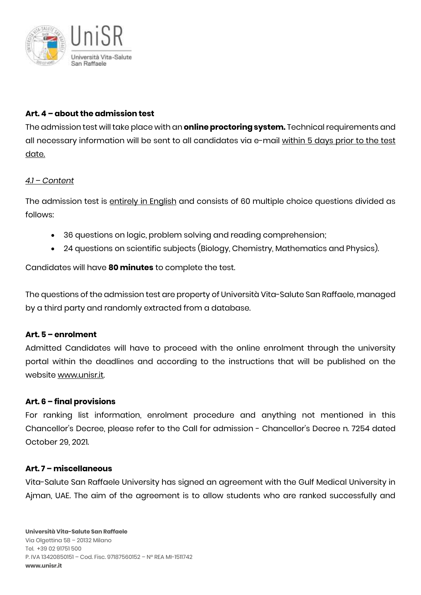

### **Art. 4 – about the admission test**

The admission test will take place with an **online proctoring system.** Technical requirements and all necessary information will be sent to all candidates via e-mail within 5 days prior to the test date.

#### *4.1 – Content*

The admission test is entirely in English and consists of 60 multiple choice questions divided as follows:

- 36 questions on logic, problem solving and reading comprehension;
- 24 questions on scientific subjects (Biology, Chemistry, Mathematics and Physics).

Candidates will have **80 minutes** to complete the test.

The questions of the admission test are property of Università Vita-Salute San Raffaele, managed by a third party and randomly extracted from a database.

#### **Art. 5 – enrolment**

Admitted Candidates will have to proceed with the online enrolment through the university portal within the deadlines and according to the instructions that will be published on the website www.unisr.it.

#### **Art. 6 – final provisions**

For ranking list information, enrolment procedure and anything not mentioned in this Chancellor's Decree, please refer to the Call for admission - Chancellor's Decree n. 7254 dated October 29, 2021.

#### **Art. 7 – miscellaneous**

Vita-Salute San Raffaele University has signed an agreement with the Gulf Medical University in Ajman, UAE. The aim of the agreement is to allow students who are ranked successfully and